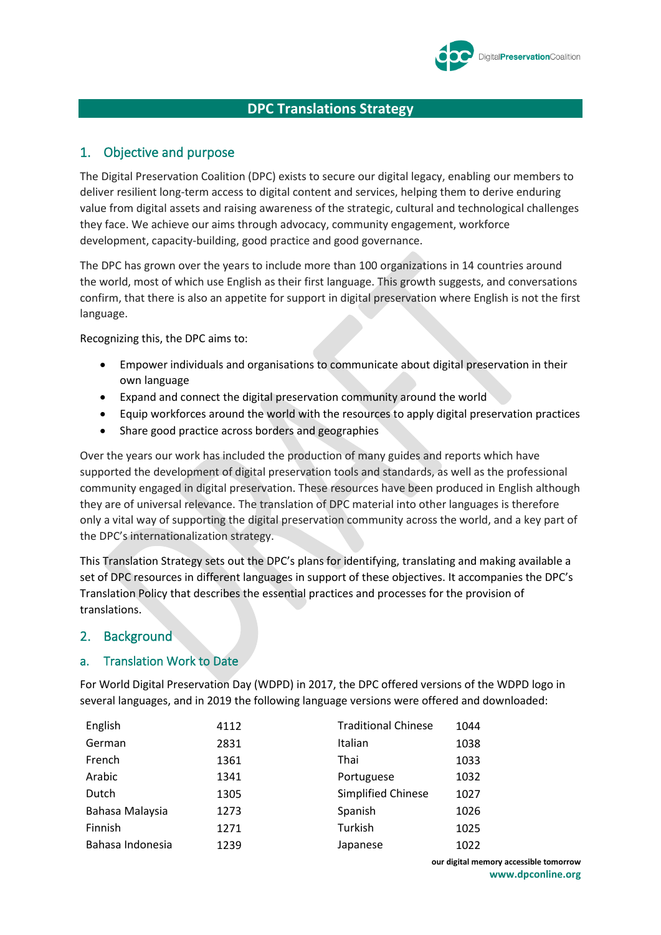

# **DPC Translations Strategy**

# 1. Objective and purpose

The Digital Preservation Coalition (DPC) exists to secure our digital legacy, enabling our members to deliver resilient long-term access to digital content and services, helping them to derive enduring value from digital assets and raising awareness of the strategic, cultural and technological challenges they face. We achieve our aims through advocacy, community engagement, workforce development, capacity-building, good practice and good governance.

The DPC has grown over the years to include more than 100 organizations in 14 countries around the world, most of which use English as their first language. This growth suggests, and conversations confirm, that there is also an appetite for support in digital preservation where English is not the first language.

Recognizing this, the DPC aims to:

- Empower individuals and organisations to communicate about digital preservation in their own language
- Expand and connect the digital preservation community around the world
- Equip workforces around the world with the resources to apply digital preservation practices
- Share good practice across borders and geographies

Over the years our work has included the production of many guides and reports which have supported the development of digital preservation tools and standards, as well as the professional community engaged in digital preservation. These resources have been produced in English although they are of universal relevance. The translation of DPC material into other languages is therefore only a vital way of supporting the digital preservation community across the world, and a key part of the DPC's internationalization strategy.

This Translation Strategy sets out the DPC's plans for identifying, translating and making available a set of DPC resources in different languages in support of these objectives. It accompanies the DPC's Translation Policy that describes the essential practices and processes for the provision of translations.

## 2. Background

### a. Translation Work to Date

For World Digital Preservation Day (WDPD) in 2017, the DPC offered versions of the WDPD logo in several languages, and in 2019 the following language versions were offered and downloaded:

| English          | 4112 | <b>Traditional Chinese</b> | 1044 |
|------------------|------|----------------------------|------|
| German           | 2831 | Italian                    | 1038 |
| French           | 1361 | Thai                       | 1033 |
| Arabic           | 1341 | Portuguese                 | 1032 |
| Dutch            | 1305 | <b>Simplified Chinese</b>  | 1027 |
| Bahasa Malaysia  | 1273 | Spanish                    | 1026 |
| Finnish          | 1271 | Turkish                    | 1025 |
| Bahasa Indonesia | 1239 | Japanese                   | 1022 |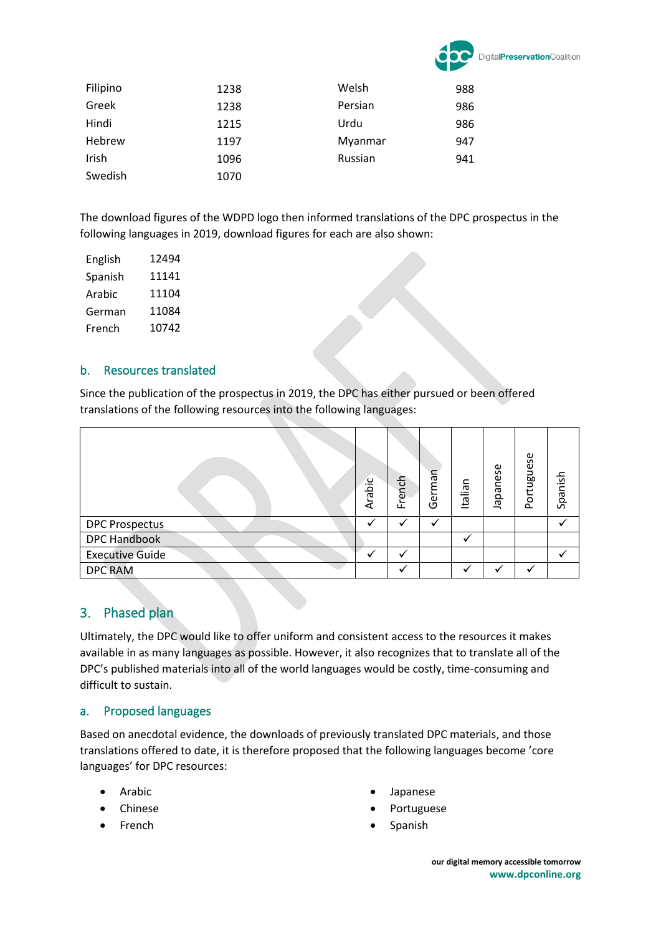

| Filipino | 1238 | Welsh   | 988 |
|----------|------|---------|-----|
| Greek    | 1238 | Persian | 986 |
| Hindi    | 1215 | Urdu    | 986 |
| Hebrew   | 1197 | Myanmar | 947 |
| Irish    | 1096 | Russian | 941 |
| Swedish  | 1070 |         |     |

The download figures of the WDPD logo then informed translations of the DPC prospectus in the following languages in 2019, download figures for each are also shown:

| English | 12494 |
|---------|-------|
| Spanish | 11141 |
| Arabic  | 11104 |
| German  | 11084 |
| French  | 10742 |

### b. Resources translated

Since the publication of the prospectus in 2019, the DPC has either pursued or been offered translations of the following resources into the following languages:

|                        | Arabic | French | German | Italian | <b>Japanese</b> | ortuguese<br>o. | Spanish |
|------------------------|--------|--------|--------|---------|-----------------|-----------------|---------|
| <b>DPC Prospectus</b>  |        |        |        |         |                 |                 |         |
| <b>DPC Handbook</b>    |        |        |        |         |                 |                 |         |
| <b>Executive Guide</b> |        |        |        |         |                 |                 |         |
| <b>DPC RAM</b>         |        |        |        |         |                 |                 |         |

# 3. Phased plan

Ultimately, the DPC would like to offer uniform and consistent access to the resources it makes available in as many languages as possible. However, it also recognizes that to translate all of the DPC's published materials into all of the world languages would be costly, time-consuming and difficult to sustain.

### a. Proposed languages

Based on anecdotal evidence, the downloads of previously translated DPC materials, and those translations offered to date, it is therefore proposed that the following languages become 'core languages' for DPC resources:

- **Arabic**
- Chinese
- **French**
- **Japanese**
- **Portuguese**
- **Spanish**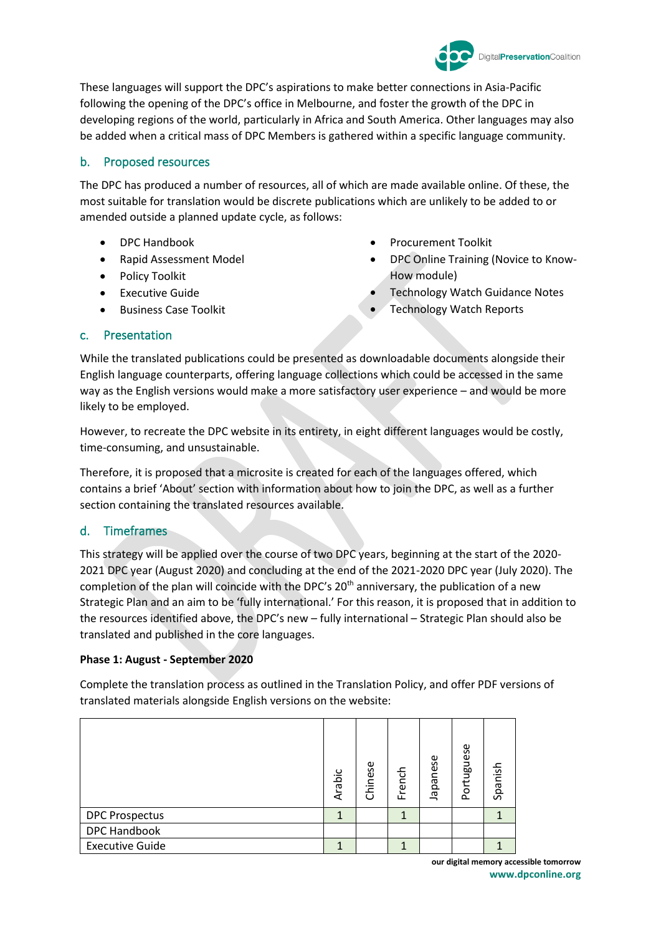

These languages will support the DPC's aspirations to make better connections in Asia-Pacific following the opening of the DPC's office in Melbourne, and foster the growth of the DPC in developing regions of the world, particularly in Africa and South America. Other languages may also be added when a critical mass of DPC Members is gathered within a specific language community.

## b. Proposed resources

The DPC has produced a number of resources, all of which are made available online. Of these, the most suitable for translation would be discrete publications which are unlikely to be added to or amended outside a planned update cycle, as follows:

- DPC Handbook
- Rapid Assessment Model
- Policy Toolkit
- Executive Guide
- Business Case Toolkit
- Procurement Toolkit
- DPC Online Training (Novice to Know-How module)
- Technology Watch Guidance Notes
- **Technology Watch Reports**

### c. Presentation

While the translated publications could be presented as downloadable documents alongside their English language counterparts, offering language collections which could be accessed in the same way as the English versions would make a more satisfactory user experience – and would be more likely to be employed.

However, to recreate the DPC website in its entirety, in eight different languages would be costly, time-consuming, and unsustainable.

Therefore, it is proposed that a microsite is created for each of the languages offered, which contains a brief 'About' section with information about how to join the DPC, as well as a further section containing the translated resources available.

### d. Timeframes

This strategy will be applied over the course of two DPC years, beginning at the start of the 2020- 2021 DPC year (August 2020) and concluding at the end of the 2021-2020 DPC year (July 2020). The completion of the plan will coincide with the DPC's  $20<sup>th</sup>$  anniversary, the publication of a new Strategic Plan and an aim to be 'fully international.' For this reason, it is proposed that in addition to the resources identified above, the DPC's new – fully international – Strategic Plan should also be translated and published in the core languages.

#### **Phase 1: August - September 2020**

Complete the translation process as outlined in the Translation Policy, and offer PDF versions of translated materials alongside English versions on the website:

|                        | Arabic | Chinese | French | <b>Japanese</b> | Portuguese | Spanish |
|------------------------|--------|---------|--------|-----------------|------------|---------|
| <b>DPC Prospectus</b>  |        |         | 1      |                 |            |         |
| <b>DPC Handbook</b>    |        |         |        |                 |            |         |
| <b>Executive Guide</b> |        |         |        |                 |            |         |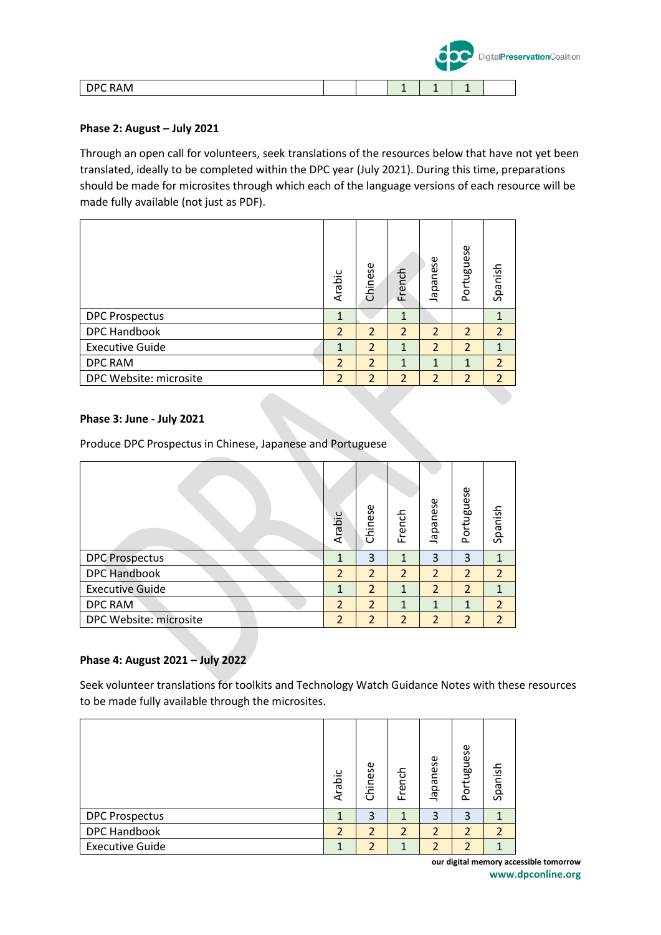|         |  |    |   | DigitalPreservationCoalition |
|---------|--|----|---|------------------------------|
| DPC RAM |  | -- | - |                              |

### **Phase 2: August – July 2021**

Through an open call for volunteers, seek translations of the resources below that have not yet been translated, ideally to be completed within the DPC year (July 2021). During this time, preparations should be made for microsites through which each of the language versions of each resource will be made fully available (not just as PDF).

|                        | Arabic         | Chinese        | French         | <b>Japanese</b> | Portuguese     | Spanish        |
|------------------------|----------------|----------------|----------------|-----------------|----------------|----------------|
| <b>DPC Prospectus</b>  | 1              |                | 1              |                 |                |                |
| <b>DPC Handbook</b>    | $\overline{2}$ | 2              | $\overline{2}$ | 2               | 2              | $\overline{2}$ |
| <b>Executive Guide</b> | 1              | $\overline{2}$ | 1              | $\overline{2}$  | $\overline{2}$ | 1              |
| <b>DPC RAM</b>         | $\overline{2}$ | 2              | 1              | $\mathbf{1}$    | 1              | $\overline{2}$ |
| DPC Website: microsite | $\overline{2}$ | $\overline{2}$ | $\overline{2}$ | $\overline{2}$  | $\overline{2}$ | $\overline{2}$ |

#### **Phase 3: June - July 2021**

Produce DPC Prospectus in Chinese, Japanese and Portuguese

|                        | Arabic         | Chinese        | French         | <b>Japanese</b> | Portuguese     | Spanish        |
|------------------------|----------------|----------------|----------------|-----------------|----------------|----------------|
| <b>DPC Prospectus</b>  | 1              | 3              | 1              | 3               | 3              | 1              |
| <b>DPC Handbook</b>    | $\overline{2}$ | $\overline{2}$ | $\overline{2}$ | $\overline{2}$  | $\overline{2}$ | $\overline{2}$ |
| <b>Executive Guide</b> | $\mathbf{1}$   | 2              | $\mathbf{1}$   | $\overline{2}$  | $\overline{2}$ | 1              |
| DPC RAM                | $\overline{2}$ | $\overline{2}$ | $\mathbf{1}$   | 1               | 1              | $\overline{2}$ |
| DPC Website: microsite | $\overline{2}$ | $\overline{2}$ | $\overline{2}$ | $\overline{2}$  | $\overline{2}$ | $\overline{2}$ |

#### **Phase 4: August 2021 – July 2022**

Seek volunteer translations for toolkits and Technology Watch Guidance Notes with these resources to be made fully available through the microsites.

|                        | Arabic         | Chinese        | French | Japanese       | Portuguese     | Spanish        |
|------------------------|----------------|----------------|--------|----------------|----------------|----------------|
| <b>DPC Prospectus</b>  |                | 3              | 1      | 3              | 3              |                |
| <b>DPC Handbook</b>    | $\overline{2}$ | $\overline{2}$ | 2      | $\overline{2}$ | $\overline{2}$ | $\overline{2}$ |
| <b>Executive Guide</b> |                | $\mathcal{P}$  |        | ว              | $\overline{2}$ |                |